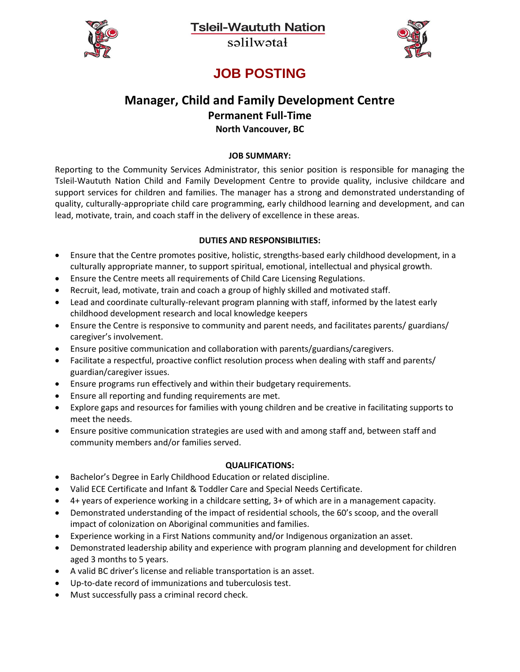**Tsleil-Waututh Nation** 



salilwatał



### **JOB POSTING**

# **Manager, Child and Family Development Centre Permanent Full-Time**

**North Vancouver, BC**

#### **JOB SUMMARY:**

Reporting to the Community Services Administrator, this senior position is responsible for managing the Tsleil-Waututh Nation Child and Family Development Centre to provide quality, inclusive childcare and support services for children and families. The manager has a strong and demonstrated understanding of quality, culturally-appropriate child care programming, early childhood learning and development, and can lead, motivate, train, and coach staff in the delivery of excellence in these areas.

#### **DUTIES AND RESPONSIBILITIES:**

- Ensure that the Centre promotes positive, holistic, strengths-based early childhood development, in a culturally appropriate manner, to support spiritual, emotional, intellectual and physical growth.
- Ensure the Centre meets all requirements of Child Care Licensing Regulations.
- Recruit, lead, motivate, train and coach a group of highly skilled and motivated staff.
- Lead and coordinate culturally-relevant program planning with staff, informed by the latest early childhood development research and local knowledge keepers
- Ensure the Centre is responsive to community and parent needs, and facilitates parents/ guardians/ caregiver's involvement.
- Ensure positive communication and collaboration with parents/guardians/caregivers.
- Facilitate a respectful, proactive conflict resolution process when dealing with staff and parents/ guardian/caregiver issues.
- Ensure programs run effectively and within their budgetary requirements.
- Ensure all reporting and funding requirements are met.
- Explore gaps and resources for families with young children and be creative in facilitating supports to meet the needs.
- Ensure positive communication strategies are used with and among staff and, between staff and community members and/or families served.

#### **QUALIFICATIONS:**

- Bachelor's Degree in Early Childhood Education or related discipline.
- Valid ECE Certificate and Infant & Toddler Care and Special Needs Certificate.
- 4+ years of experience working in a childcare setting, 3+ of which are in a management capacity.
- Demonstrated understanding of the impact of residential schools, the 60's scoop, and the overall impact of colonization on Aboriginal communities and families.
- Experience working in a First Nations community and/or Indigenous organization an asset.
- Demonstrated leadership ability and experience with program planning and development for children aged 3 months to 5 years.
- A valid BC driver's license and reliable transportation is an asset.
- Up-to-date record of immunizations and tuberculosis test.
- Must successfully pass a criminal record check.